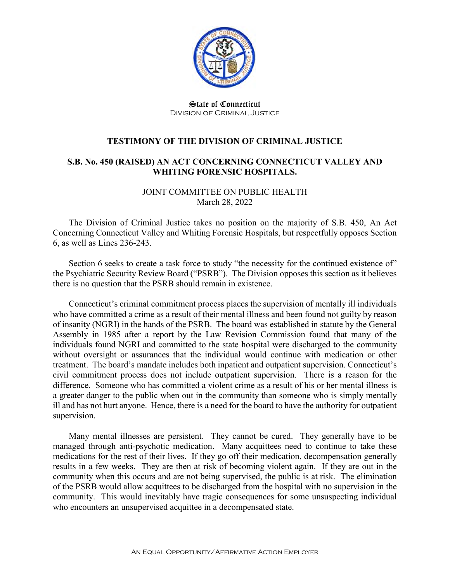

State of Connecticut Division of Criminal Justice

## **TESTIMONY OF THE DIVISION OF CRIMINAL JUSTICE**

## **S.B. No. 450 (RAISED) AN ACT CONCERNING CONNECTICUT VALLEY AND WHITING FORENSIC HOSPITALS.**

JOINT COMMITTEE ON PUBLIC HEALTH March 28, 2022

The Division of Criminal Justice takes no position on the majority of S.B. 450, An Act Concerning Connecticut Valley and Whiting Forensic Hospitals, but respectfully opposes Section 6, as well as Lines 236-243.

Section 6 seeks to create a task force to study "the necessity for the continued existence of" the Psychiatric Security Review Board ("PSRB"). The Division opposes this section as it believes there is no question that the PSRB should remain in existence.

Connecticut's criminal commitment process places the supervision of mentally ill individuals who have committed a crime as a result of their mental illness and been found not guilty by reason of insanity (NGRI) in the hands of the PSRB. The board was established in statute by the General Assembly in 1985 after a report by the Law Revision Commission found that many of the individuals found NGRI and committed to the state hospital were discharged to the community without oversight or assurances that the individual would continue with medication or other treatment. The board's mandate includes both inpatient and outpatient supervision. Connecticut's civil commitment process does not include outpatient supervision. There is a reason for the difference. Someone who has committed a violent crime as a result of his or her mental illness is a greater danger to the public when out in the community than someone who is simply mentally ill and has not hurt anyone. Hence, there is a need for the board to have the authority for outpatient supervision.

Many mental illnesses are persistent. They cannot be cured. They generally have to be managed through anti-psychotic medication. Many acquittees need to continue to take these medications for the rest of their lives. If they go off their medication, decompensation generally results in a few weeks. They are then at risk of becoming violent again. If they are out in the community when this occurs and are not being supervised, the public is at risk. The elimination of the PSRB would allow acquittees to be discharged from the hospital with no supervision in the community. This would inevitably have tragic consequences for some unsuspecting individual who encounters an unsupervised acquittee in a decompensated state.